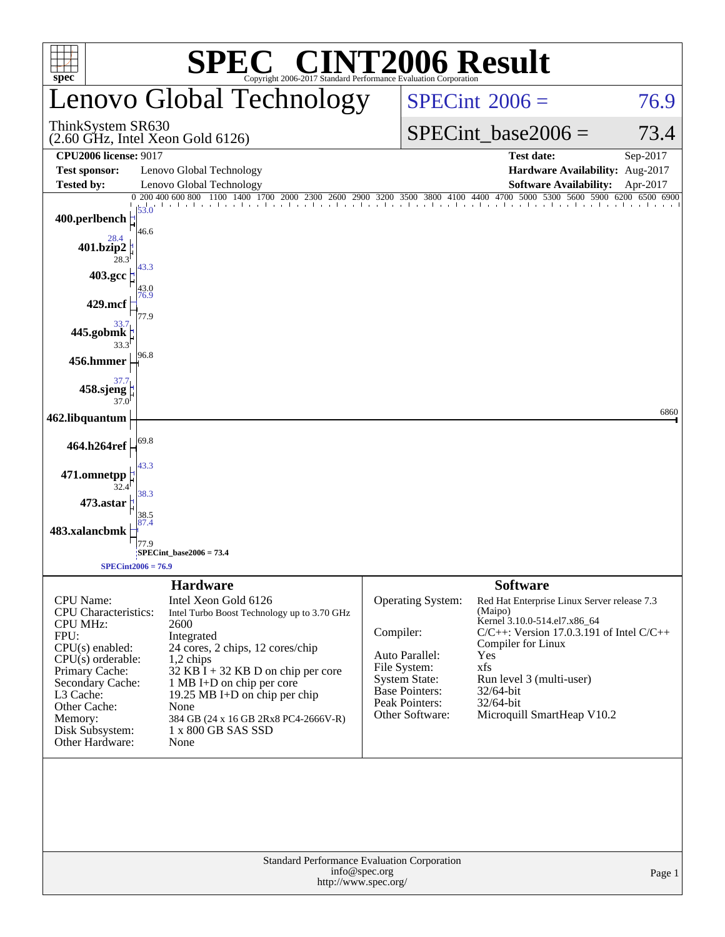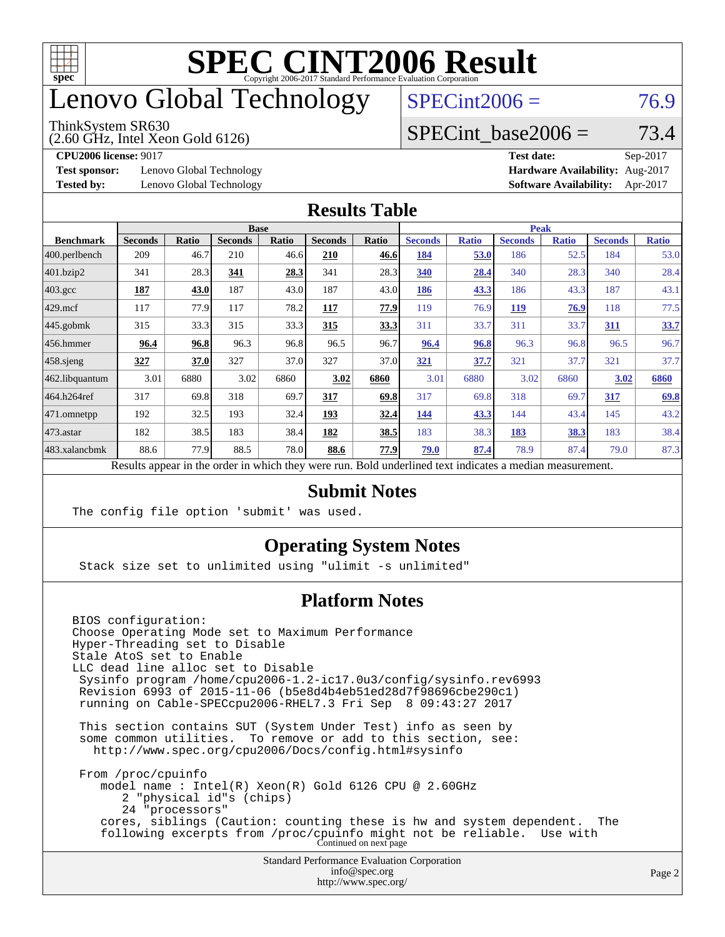

## enovo Global Technology

#### ThinkSystem SR630

(2.60 GHz, Intel Xeon Gold 6126)

 $SPECint2006 = 76.9$  $SPECint2006 = 76.9$ 

### SPECint base2006 =  $73.4$

**[Test sponsor:](http://www.spec.org/auto/cpu2006/Docs/result-fields.html#Testsponsor)** Lenovo Global Technology **[Hardware Availability:](http://www.spec.org/auto/cpu2006/Docs/result-fields.html#HardwareAvailability)** Aug-2017

**[CPU2006 license:](http://www.spec.org/auto/cpu2006/Docs/result-fields.html#CPU2006license)** 9017 **[Test date:](http://www.spec.org/auto/cpu2006/Docs/result-fields.html#Testdate)** Sep-2017 **[Tested by:](http://www.spec.org/auto/cpu2006/Docs/result-fields.html#Testedby)** Lenovo Global Technology **[Software Availability:](http://www.spec.org/auto/cpu2006/Docs/result-fields.html#SoftwareAvailability)** Apr-2017

#### **[Results Table](http://www.spec.org/auto/cpu2006/Docs/result-fields.html#ResultsTable)**

|                                                                                                          | <b>Base</b>    |              |                |              |                |             | <b>Peak</b>    |              |                |              |                |              |
|----------------------------------------------------------------------------------------------------------|----------------|--------------|----------------|--------------|----------------|-------------|----------------|--------------|----------------|--------------|----------------|--------------|
| <b>Benchmark</b>                                                                                         | <b>Seconds</b> | <b>Ratio</b> | <b>Seconds</b> | <b>Ratio</b> | <b>Seconds</b> | Ratio       | <b>Seconds</b> | <b>Ratio</b> | <b>Seconds</b> | <b>Ratio</b> | <b>Seconds</b> | <b>Ratio</b> |
| $ 400$ .perlbench                                                                                        | 209            | 46.7         | 210            | 46.6         | 210            | 46.6        | 184            | 53.0         | 186            | 52.5         | 184            | 53.0         |
| $401$ .bzip2                                                                                             | 341            | 28.3         | 341            | 28.3         | 341            | 28.3        | 340            | 28.4         | 340            | 28.3         | 340            | 28.4         |
| $403.\text{gcc}$                                                                                         | 187            | 43.0         | 187            | 43.0         | 187            | 43.0        | 186            | 43.3         | 186            | 43.3         | 187            | 43.1         |
| $429$ mcf                                                                                                | 117            | 77.9         | 117            | 78.2         | 117            | 77.9        | 119            | 76.9         | <b>119</b>     | 76.9         | 118            | 77.5         |
| $445$ .gobmk                                                                                             | 315            | 33.3         | 315            | 33.3         | 315            | 33.3        | 311            | 33.7         | 311            | 33.7         | 311            | <u>33.7</u>  |
| $456.$ hmmer                                                                                             | 96.4           | 96.8         | 96.3           | 96.8         | 96.5           | 96.7        | 96.4           | 96.8         | 96.3           | 96.8         | 96.5           | 96.7         |
| $458$ .sjeng                                                                                             | 327            | 37.0         | 327            | 37.0         | 327            | 37.0        | 321            | 37.7         | 321            | 37.7         | 321            | 37.7         |
| 462.libquantum                                                                                           | 3.01           | 6880         | 3.02           | 6860         | 3.02           | 6860        | 3.01           | 6880         | 3.02           | 6860         | 3.02           | 6860         |
| 464.h264ref                                                                                              | 317            | 69.8         | 318            | 69.7         | 317            | 69.8        | 317            | 69.8         | 318            | 69.7         | 317            | 69.8         |
| 471.omnetpp                                                                                              | 192            | 32.5         | 193            | 32.4         | 193            | <u>32.4</u> | 144            | 43.3         | 144            | 43.4         | 145            | 43.2         |
| $473$ . astar                                                                                            | 182            | 38.5         | 183            | 38.4         | 182            | 38.5        | 183            | 38.3         | 183            | 38.3         | 183            | 38.4         |
| 483.xalancbmk                                                                                            | 88.6           | 77.9         | 88.5           | 78.0         | 88.6           | 77.9        | 79.0           | 87.4         | 78.9           | 87.4         | 79.0           | 87.3         |
| Results appear in the order in which they were run. Bold underlined text indicates a median measurement. |                |              |                |              |                |             |                |              |                |              |                |              |

#### **[Submit Notes](http://www.spec.org/auto/cpu2006/Docs/result-fields.html#SubmitNotes)**

The config file option 'submit' was used.

### **[Operating System Notes](http://www.spec.org/auto/cpu2006/Docs/result-fields.html#OperatingSystemNotes)**

Stack size set to unlimited using "ulimit -s unlimited"

### **[Platform Notes](http://www.spec.org/auto/cpu2006/Docs/result-fields.html#PlatformNotes)**

Standard Performance Evaluation Corporation [info@spec.org](mailto:info@spec.org) BIOS configuration: Choose Operating Mode set to Maximum Performance Hyper-Threading set to Disable Stale AtoS set to Enable LLC dead line alloc set to Disable Sysinfo program /home/cpu2006-1.2-ic17.0u3/config/sysinfo.rev6993 Revision 6993 of 2015-11-06 (b5e8d4b4eb51ed28d7f98696cbe290c1) running on Cable-SPECcpu2006-RHEL7.3 Fri Sep 8 09:43:27 2017 This section contains SUT (System Under Test) info as seen by some common utilities. To remove or add to this section, see: <http://www.spec.org/cpu2006/Docs/config.html#sysinfo> From /proc/cpuinfo model name : Intel(R) Xeon(R) Gold 6126 CPU @ 2.60GHz 2 "physical id"s (chips) 24 "processors" cores, siblings (Caution: counting these is hw and system dependent. The following excerpts from /proc/cpuinfo might not be reliable. Use with Continued on next page

<http://www.spec.org/>

Page 2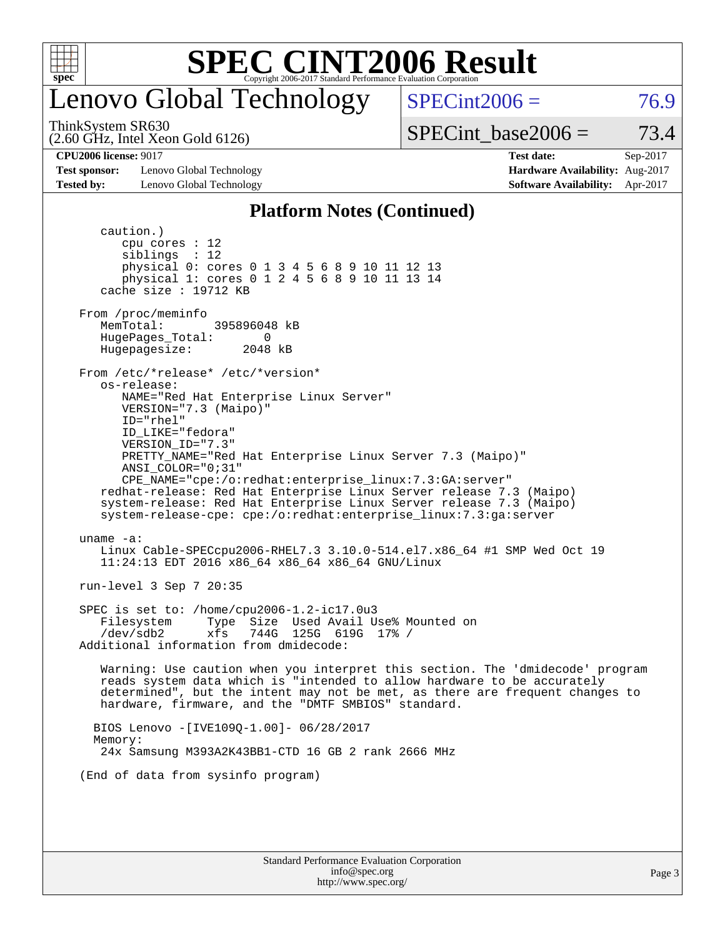

## enovo Global Technology

ThinkSystem SR630

(2.60 GHz, Intel Xeon Gold 6126)

 $SPECint2006 = 76.9$  $SPECint2006 = 76.9$ 

SPECint base2006 =  $73.4$ 

**[Test sponsor:](http://www.spec.org/auto/cpu2006/Docs/result-fields.html#Testsponsor)** Lenovo Global Technology **[Hardware Availability:](http://www.spec.org/auto/cpu2006/Docs/result-fields.html#HardwareAvailability)** Aug-2017 **[Tested by:](http://www.spec.org/auto/cpu2006/Docs/result-fields.html#Testedby)** Lenovo Global Technology **[Software Availability:](http://www.spec.org/auto/cpu2006/Docs/result-fields.html#SoftwareAvailability)** Apr-2017

**[CPU2006 license:](http://www.spec.org/auto/cpu2006/Docs/result-fields.html#CPU2006license)** 9017 **[Test date:](http://www.spec.org/auto/cpu2006/Docs/result-fields.html#Testdate)** Sep-2017

#### **[Platform Notes \(Continued\)](http://www.spec.org/auto/cpu2006/Docs/result-fields.html#PlatformNotes)**

Standard Performance Evaluation Corporation [info@spec.org](mailto:info@spec.org) caution.) cpu cores : 12 siblings : 12 physical 0: cores 0 1 3 4 5 6 8 9 10 11 12 13 physical 1: cores 0 1 2 4 5 6 8 9 10 11 13 14 cache size : 19712 KB From /proc/meminfo MemTotal: 395896048 kB HugePages\_Total: 0<br>Hugepagesize: 2048 kB Hugepagesize: From /etc/\*release\* /etc/\*version\* os-release: NAME="Red Hat Enterprise Linux Server" VERSION="7.3 (Maipo)" ID="rhel" ID\_LIKE="fedora" VERSION\_ID="7.3" PRETTY\_NAME="Red Hat Enterprise Linux Server 7.3 (Maipo)" ANSI\_COLOR="0;31" CPE\_NAME="cpe:/o:redhat:enterprise\_linux:7.3:GA:server" redhat-release: Red Hat Enterprise Linux Server release 7.3 (Maipo) system-release: Red Hat Enterprise Linux Server release 7.3 (Maipo) system-release-cpe: cpe:/o:redhat:enterprise\_linux:7.3:ga:server uname -a: Linux Cable-SPECcpu2006-RHEL7.3 3.10.0-514.el7.x86\_64 #1 SMP Wed Oct 19 11:24:13 EDT 2016 x86\_64 x86\_64 x86\_64 GNU/Linux run-level 3 Sep 7 20:35 SPEC is set to: /home/cpu2006-1.2-ic17.0u3 Filesystem Type Size Used Avail Use% Mounted on /dev/sdb2 xfs 744G 125G 619G 17% / Additional information from dmidecode: Warning: Use caution when you interpret this section. The 'dmidecode' program reads system data which is "intended to allow hardware to be accurately determined", but the intent may not be met, as there are frequent changes to hardware, firmware, and the "DMTF SMBIOS" standard. BIOS Lenovo -[IVE109Q-1.00]- 06/28/2017 Memory: 24x Samsung M393A2K43BB1-CTD 16 GB 2 rank 2666 MHz (End of data from sysinfo program)

<http://www.spec.org/>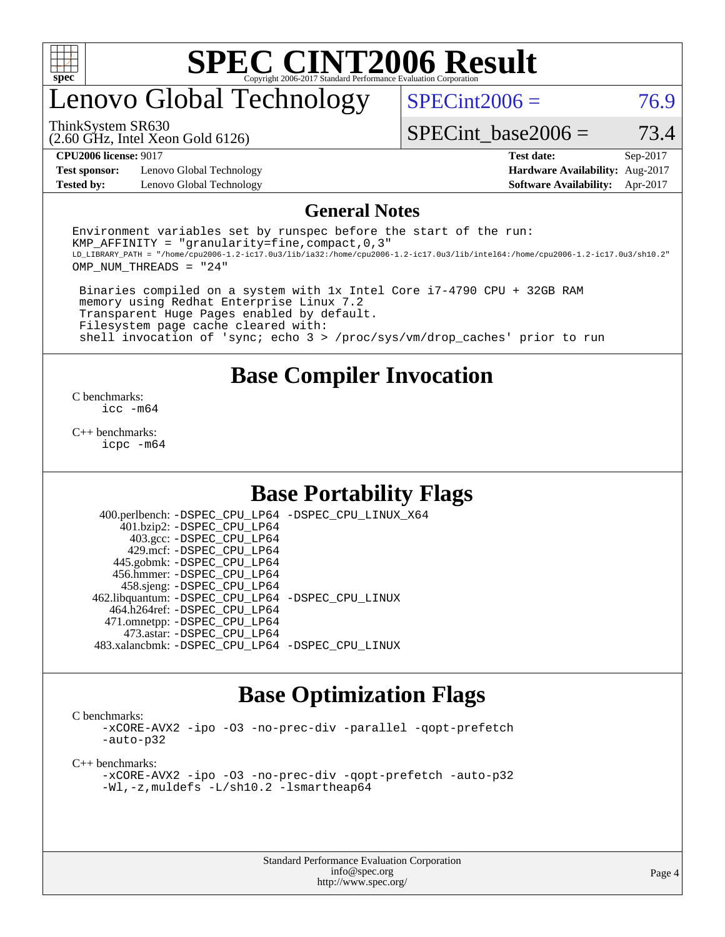

## enovo Global Technology

 $SPECint2006 = 76.9$  $SPECint2006 = 76.9$ 

ThinkSystem SR630

(2.60 GHz, Intel Xeon Gold 6126)

SPECint base2006 =  $73.4$ 

**[Test sponsor:](http://www.spec.org/auto/cpu2006/Docs/result-fields.html#Testsponsor)** Lenovo Global Technology **[Hardware Availability:](http://www.spec.org/auto/cpu2006/Docs/result-fields.html#HardwareAvailability)** Aug-2017 **[Tested by:](http://www.spec.org/auto/cpu2006/Docs/result-fields.html#Testedby)** Lenovo Global Technology **[Software Availability:](http://www.spec.org/auto/cpu2006/Docs/result-fields.html#SoftwareAvailability)** Apr-2017

**[CPU2006 license:](http://www.spec.org/auto/cpu2006/Docs/result-fields.html#CPU2006license)** 9017 **[Test date:](http://www.spec.org/auto/cpu2006/Docs/result-fields.html#Testdate)** Sep-2017

#### **[General Notes](http://www.spec.org/auto/cpu2006/Docs/result-fields.html#GeneralNotes)**

Environment variables set by runspec before the start of the run: KMP AFFINITY = "granularity=fine, compact,  $0,3$ " LD\_LIBRARY\_PATH = "/home/cpu2006-1.2-ic17.0u3/lib/ia32:/home/cpu2006-1.2-ic17.0u3/lib/intel64:/home/cpu2006-1.2-ic17.0u3/sh10.2" OMP\_NUM\_THREADS = "24"

 Binaries compiled on a system with 1x Intel Core i7-4790 CPU + 32GB RAM memory using Redhat Enterprise Linux 7.2 Transparent Huge Pages enabled by default. Filesystem page cache cleared with: shell invocation of 'sync; echo 3 > /proc/sys/vm/drop\_caches' prior to run

### **[Base Compiler Invocation](http://www.spec.org/auto/cpu2006/Docs/result-fields.html#BaseCompilerInvocation)**

[C benchmarks](http://www.spec.org/auto/cpu2006/Docs/result-fields.html#Cbenchmarks): [icc -m64](http://www.spec.org/cpu2006/results/res2017q4/cpu2006-20170918-49518.flags.html#user_CCbase_intel_icc_64bit_bda6cc9af1fdbb0edc3795bac97ada53)

[C++ benchmarks:](http://www.spec.org/auto/cpu2006/Docs/result-fields.html#CXXbenchmarks) [icpc -m64](http://www.spec.org/cpu2006/results/res2017q4/cpu2006-20170918-49518.flags.html#user_CXXbase_intel_icpc_64bit_fc66a5337ce925472a5c54ad6a0de310)

### **[Base Portability Flags](http://www.spec.org/auto/cpu2006/Docs/result-fields.html#BasePortabilityFlags)**

 400.perlbench: [-DSPEC\\_CPU\\_LP64](http://www.spec.org/cpu2006/results/res2017q4/cpu2006-20170918-49518.flags.html#b400.perlbench_basePORTABILITY_DSPEC_CPU_LP64) [-DSPEC\\_CPU\\_LINUX\\_X64](http://www.spec.org/cpu2006/results/res2017q4/cpu2006-20170918-49518.flags.html#b400.perlbench_baseCPORTABILITY_DSPEC_CPU_LINUX_X64) 401.bzip2: [-DSPEC\\_CPU\\_LP64](http://www.spec.org/cpu2006/results/res2017q4/cpu2006-20170918-49518.flags.html#suite_basePORTABILITY401_bzip2_DSPEC_CPU_LP64) 403.gcc: [-DSPEC\\_CPU\\_LP64](http://www.spec.org/cpu2006/results/res2017q4/cpu2006-20170918-49518.flags.html#suite_basePORTABILITY403_gcc_DSPEC_CPU_LP64) 429.mcf: [-DSPEC\\_CPU\\_LP64](http://www.spec.org/cpu2006/results/res2017q4/cpu2006-20170918-49518.flags.html#suite_basePORTABILITY429_mcf_DSPEC_CPU_LP64) 445.gobmk: [-DSPEC\\_CPU\\_LP64](http://www.spec.org/cpu2006/results/res2017q4/cpu2006-20170918-49518.flags.html#suite_basePORTABILITY445_gobmk_DSPEC_CPU_LP64) 456.hmmer: [-DSPEC\\_CPU\\_LP64](http://www.spec.org/cpu2006/results/res2017q4/cpu2006-20170918-49518.flags.html#suite_basePORTABILITY456_hmmer_DSPEC_CPU_LP64) 458.sjeng: [-DSPEC\\_CPU\\_LP64](http://www.spec.org/cpu2006/results/res2017q4/cpu2006-20170918-49518.flags.html#suite_basePORTABILITY458_sjeng_DSPEC_CPU_LP64) 462.libquantum: [-DSPEC\\_CPU\\_LP64](http://www.spec.org/cpu2006/results/res2017q4/cpu2006-20170918-49518.flags.html#suite_basePORTABILITY462_libquantum_DSPEC_CPU_LP64) [-DSPEC\\_CPU\\_LINUX](http://www.spec.org/cpu2006/results/res2017q4/cpu2006-20170918-49518.flags.html#b462.libquantum_baseCPORTABILITY_DSPEC_CPU_LINUX) 464.h264ref: [-DSPEC\\_CPU\\_LP64](http://www.spec.org/cpu2006/results/res2017q4/cpu2006-20170918-49518.flags.html#suite_basePORTABILITY464_h264ref_DSPEC_CPU_LP64) 471.omnetpp: [-DSPEC\\_CPU\\_LP64](http://www.spec.org/cpu2006/results/res2017q4/cpu2006-20170918-49518.flags.html#suite_basePORTABILITY471_omnetpp_DSPEC_CPU_LP64) 473.astar: [-DSPEC\\_CPU\\_LP64](http://www.spec.org/cpu2006/results/res2017q4/cpu2006-20170918-49518.flags.html#suite_basePORTABILITY473_astar_DSPEC_CPU_LP64) 483.xalancbmk: [-DSPEC\\_CPU\\_LP64](http://www.spec.org/cpu2006/results/res2017q4/cpu2006-20170918-49518.flags.html#suite_basePORTABILITY483_xalancbmk_DSPEC_CPU_LP64) [-DSPEC\\_CPU\\_LINUX](http://www.spec.org/cpu2006/results/res2017q4/cpu2006-20170918-49518.flags.html#b483.xalancbmk_baseCXXPORTABILITY_DSPEC_CPU_LINUX)

### **[Base Optimization Flags](http://www.spec.org/auto/cpu2006/Docs/result-fields.html#BaseOptimizationFlags)**

[C benchmarks](http://www.spec.org/auto/cpu2006/Docs/result-fields.html#Cbenchmarks):

[-xCORE-AVX2](http://www.spec.org/cpu2006/results/res2017q4/cpu2006-20170918-49518.flags.html#user_CCbase_f-xCORE-AVX2) [-ipo](http://www.spec.org/cpu2006/results/res2017q4/cpu2006-20170918-49518.flags.html#user_CCbase_f-ipo) [-O3](http://www.spec.org/cpu2006/results/res2017q4/cpu2006-20170918-49518.flags.html#user_CCbase_f-O3) [-no-prec-div](http://www.spec.org/cpu2006/results/res2017q4/cpu2006-20170918-49518.flags.html#user_CCbase_f-no-prec-div) [-parallel](http://www.spec.org/cpu2006/results/res2017q4/cpu2006-20170918-49518.flags.html#user_CCbase_f-parallel) [-qopt-prefetch](http://www.spec.org/cpu2006/results/res2017q4/cpu2006-20170918-49518.flags.html#user_CCbase_f-qopt-prefetch) [-auto-p32](http://www.spec.org/cpu2006/results/res2017q4/cpu2006-20170918-49518.flags.html#user_CCbase_f-auto-p32)

[C++ benchmarks:](http://www.spec.org/auto/cpu2006/Docs/result-fields.html#CXXbenchmarks)

[-xCORE-AVX2](http://www.spec.org/cpu2006/results/res2017q4/cpu2006-20170918-49518.flags.html#user_CXXbase_f-xCORE-AVX2) [-ipo](http://www.spec.org/cpu2006/results/res2017q4/cpu2006-20170918-49518.flags.html#user_CXXbase_f-ipo) [-O3](http://www.spec.org/cpu2006/results/res2017q4/cpu2006-20170918-49518.flags.html#user_CXXbase_f-O3) [-no-prec-div](http://www.spec.org/cpu2006/results/res2017q4/cpu2006-20170918-49518.flags.html#user_CXXbase_f-no-prec-div) [-qopt-prefetch](http://www.spec.org/cpu2006/results/res2017q4/cpu2006-20170918-49518.flags.html#user_CXXbase_f-qopt-prefetch) [-auto-p32](http://www.spec.org/cpu2006/results/res2017q4/cpu2006-20170918-49518.flags.html#user_CXXbase_f-auto-p32) [-Wl,-z,muldefs](http://www.spec.org/cpu2006/results/res2017q4/cpu2006-20170918-49518.flags.html#user_CXXbase_link_force_multiple1_74079c344b956b9658436fd1b6dd3a8a) [-L/sh10.2 -lsmartheap64](http://www.spec.org/cpu2006/results/res2017q4/cpu2006-20170918-49518.flags.html#user_CXXbase_SmartHeap64_63911d860fc08c15fa1d5bf319b9d8d5)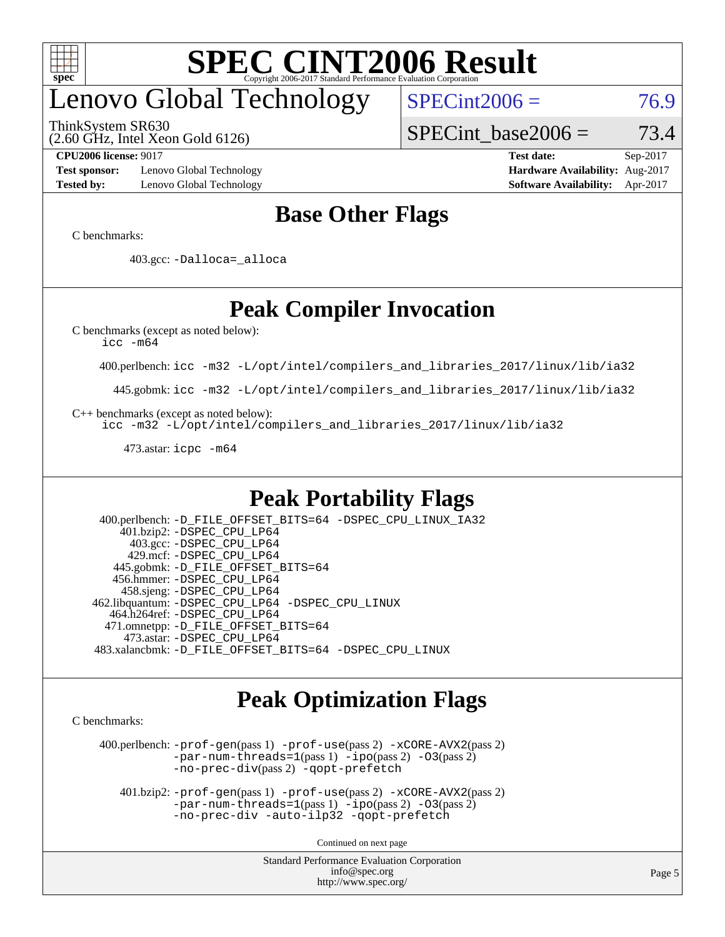

# enovo Global Technology

ThinkSystem SR630

(2.60 GHz, Intel Xeon Gold 6126)

 $SPECint2006 = 76.9$  $SPECint2006 = 76.9$ 

SPECint base2006 =  $73.4$ 

**[Test sponsor:](http://www.spec.org/auto/cpu2006/Docs/result-fields.html#Testsponsor)** Lenovo Global Technology **[Hardware Availability:](http://www.spec.org/auto/cpu2006/Docs/result-fields.html#HardwareAvailability)** Aug-2017 **[Tested by:](http://www.spec.org/auto/cpu2006/Docs/result-fields.html#Testedby)** Lenovo Global Technology **[Software Availability:](http://www.spec.org/auto/cpu2006/Docs/result-fields.html#SoftwareAvailability)** Apr-2017

**[CPU2006 license:](http://www.spec.org/auto/cpu2006/Docs/result-fields.html#CPU2006license)** 9017 **[Test date:](http://www.spec.org/auto/cpu2006/Docs/result-fields.html#Testdate)** Sep-2017

### **[Base Other Flags](http://www.spec.org/auto/cpu2006/Docs/result-fields.html#BaseOtherFlags)**

[C benchmarks](http://www.spec.org/auto/cpu2006/Docs/result-fields.html#Cbenchmarks):

403.gcc: [-Dalloca=\\_alloca](http://www.spec.org/cpu2006/results/res2017q4/cpu2006-20170918-49518.flags.html#b403.gcc_baseEXTRA_CFLAGS_Dalloca_be3056838c12de2578596ca5467af7f3)

## **[Peak Compiler Invocation](http://www.spec.org/auto/cpu2006/Docs/result-fields.html#PeakCompilerInvocation)**

[C benchmarks \(except as noted below\)](http://www.spec.org/auto/cpu2006/Docs/result-fields.html#Cbenchmarksexceptasnotedbelow):

[icc -m64](http://www.spec.org/cpu2006/results/res2017q4/cpu2006-20170918-49518.flags.html#user_CCpeak_intel_icc_64bit_bda6cc9af1fdbb0edc3795bac97ada53)

400.perlbench: [icc -m32 -L/opt/intel/compilers\\_and\\_libraries\\_2017/linux/lib/ia32](http://www.spec.org/cpu2006/results/res2017q4/cpu2006-20170918-49518.flags.html#user_peakCCLD400_perlbench_intel_icc_c29f3ff5a7ed067b11e4ec10a03f03ae)

445.gobmk: [icc -m32 -L/opt/intel/compilers\\_and\\_libraries\\_2017/linux/lib/ia32](http://www.spec.org/cpu2006/results/res2017q4/cpu2006-20170918-49518.flags.html#user_peakCCLD445_gobmk_intel_icc_c29f3ff5a7ed067b11e4ec10a03f03ae)

[C++ benchmarks \(except as noted below\):](http://www.spec.org/auto/cpu2006/Docs/result-fields.html#CXXbenchmarksexceptasnotedbelow)

[icc -m32 -L/opt/intel/compilers\\_and\\_libraries\\_2017/linux/lib/ia32](http://www.spec.org/cpu2006/results/res2017q4/cpu2006-20170918-49518.flags.html#user_CXXpeak_intel_icc_c29f3ff5a7ed067b11e4ec10a03f03ae)

473.astar: [icpc -m64](http://www.spec.org/cpu2006/results/res2017q4/cpu2006-20170918-49518.flags.html#user_peakCXXLD473_astar_intel_icpc_64bit_fc66a5337ce925472a5c54ad6a0de310)

### **[Peak Portability Flags](http://www.spec.org/auto/cpu2006/Docs/result-fields.html#PeakPortabilityFlags)**

 400.perlbench: [-D\\_FILE\\_OFFSET\\_BITS=64](http://www.spec.org/cpu2006/results/res2017q4/cpu2006-20170918-49518.flags.html#user_peakPORTABILITY400_perlbench_file_offset_bits_64_438cf9856305ebd76870a2c6dc2689ab) [-DSPEC\\_CPU\\_LINUX\\_IA32](http://www.spec.org/cpu2006/results/res2017q4/cpu2006-20170918-49518.flags.html#b400.perlbench_peakCPORTABILITY_DSPEC_CPU_LINUX_IA32) 401.bzip2: [-DSPEC\\_CPU\\_LP64](http://www.spec.org/cpu2006/results/res2017q4/cpu2006-20170918-49518.flags.html#suite_peakPORTABILITY401_bzip2_DSPEC_CPU_LP64) 403.gcc: [-DSPEC\\_CPU\\_LP64](http://www.spec.org/cpu2006/results/res2017q4/cpu2006-20170918-49518.flags.html#suite_peakPORTABILITY403_gcc_DSPEC_CPU_LP64) 429.mcf: [-DSPEC\\_CPU\\_LP64](http://www.spec.org/cpu2006/results/res2017q4/cpu2006-20170918-49518.flags.html#suite_peakPORTABILITY429_mcf_DSPEC_CPU_LP64) 445.gobmk: [-D\\_FILE\\_OFFSET\\_BITS=64](http://www.spec.org/cpu2006/results/res2017q4/cpu2006-20170918-49518.flags.html#user_peakPORTABILITY445_gobmk_file_offset_bits_64_438cf9856305ebd76870a2c6dc2689ab) 456.hmmer: [-DSPEC\\_CPU\\_LP64](http://www.spec.org/cpu2006/results/res2017q4/cpu2006-20170918-49518.flags.html#suite_peakPORTABILITY456_hmmer_DSPEC_CPU_LP64) 458.sjeng: [-DSPEC\\_CPU\\_LP64](http://www.spec.org/cpu2006/results/res2017q4/cpu2006-20170918-49518.flags.html#suite_peakPORTABILITY458_sjeng_DSPEC_CPU_LP64) 462.libquantum: [-DSPEC\\_CPU\\_LP64](http://www.spec.org/cpu2006/results/res2017q4/cpu2006-20170918-49518.flags.html#suite_peakPORTABILITY462_libquantum_DSPEC_CPU_LP64) [-DSPEC\\_CPU\\_LINUX](http://www.spec.org/cpu2006/results/res2017q4/cpu2006-20170918-49518.flags.html#b462.libquantum_peakCPORTABILITY_DSPEC_CPU_LINUX) 464.h264ref: [-DSPEC\\_CPU\\_LP64](http://www.spec.org/cpu2006/results/res2017q4/cpu2006-20170918-49518.flags.html#suite_peakPORTABILITY464_h264ref_DSPEC_CPU_LP64) 471.omnetpp: [-D\\_FILE\\_OFFSET\\_BITS=64](http://www.spec.org/cpu2006/results/res2017q4/cpu2006-20170918-49518.flags.html#user_peakPORTABILITY471_omnetpp_file_offset_bits_64_438cf9856305ebd76870a2c6dc2689ab) 473.astar: [-DSPEC\\_CPU\\_LP64](http://www.spec.org/cpu2006/results/res2017q4/cpu2006-20170918-49518.flags.html#suite_peakPORTABILITY473_astar_DSPEC_CPU_LP64) 483.xalancbmk: [-D\\_FILE\\_OFFSET\\_BITS=64](http://www.spec.org/cpu2006/results/res2017q4/cpu2006-20170918-49518.flags.html#user_peakPORTABILITY483_xalancbmk_file_offset_bits_64_438cf9856305ebd76870a2c6dc2689ab) [-DSPEC\\_CPU\\_LINUX](http://www.spec.org/cpu2006/results/res2017q4/cpu2006-20170918-49518.flags.html#b483.xalancbmk_peakCXXPORTABILITY_DSPEC_CPU_LINUX)

### **[Peak Optimization Flags](http://www.spec.org/auto/cpu2006/Docs/result-fields.html#PeakOptimizationFlags)**

[C benchmarks](http://www.spec.org/auto/cpu2006/Docs/result-fields.html#Cbenchmarks):

 400.perlbench: [-prof-gen](http://www.spec.org/cpu2006/results/res2017q4/cpu2006-20170918-49518.flags.html#user_peakPASS1_CFLAGSPASS1_LDCFLAGS400_perlbench_prof_gen_e43856698f6ca7b7e442dfd80e94a8fc)(pass 1) [-prof-use](http://www.spec.org/cpu2006/results/res2017q4/cpu2006-20170918-49518.flags.html#user_peakPASS2_CFLAGSPASS2_LDCFLAGS400_perlbench_prof_use_bccf7792157ff70d64e32fe3e1250b55)(pass 2) [-xCORE-AVX2](http://www.spec.org/cpu2006/results/res2017q4/cpu2006-20170918-49518.flags.html#user_peakPASS2_CFLAGSPASS2_LDCFLAGS400_perlbench_f-xCORE-AVX2)(pass 2) [-par-num-threads=1](http://www.spec.org/cpu2006/results/res2017q4/cpu2006-20170918-49518.flags.html#user_peakPASS1_CFLAGSPASS1_LDCFLAGS400_perlbench_par_num_threads_786a6ff141b4e9e90432e998842df6c2)(pass 1) [-ipo](http://www.spec.org/cpu2006/results/res2017q4/cpu2006-20170918-49518.flags.html#user_peakPASS2_CFLAGSPASS2_LDCFLAGS400_perlbench_f-ipo)(pass 2) [-O3](http://www.spec.org/cpu2006/results/res2017q4/cpu2006-20170918-49518.flags.html#user_peakPASS2_CFLAGSPASS2_LDCFLAGS400_perlbench_f-O3)(pass 2) [-no-prec-div](http://www.spec.org/cpu2006/results/res2017q4/cpu2006-20170918-49518.flags.html#user_peakPASS2_CFLAGSPASS2_LDCFLAGS400_perlbench_f-no-prec-div)(pass 2) [-qopt-prefetch](http://www.spec.org/cpu2006/results/res2017q4/cpu2006-20170918-49518.flags.html#user_peakCOPTIMIZE400_perlbench_f-qopt-prefetch)

 401.bzip2: [-prof-gen](http://www.spec.org/cpu2006/results/res2017q4/cpu2006-20170918-49518.flags.html#user_peakPASS1_CFLAGSPASS1_LDCFLAGS401_bzip2_prof_gen_e43856698f6ca7b7e442dfd80e94a8fc)(pass 1) [-prof-use](http://www.spec.org/cpu2006/results/res2017q4/cpu2006-20170918-49518.flags.html#user_peakPASS2_CFLAGSPASS2_LDCFLAGS401_bzip2_prof_use_bccf7792157ff70d64e32fe3e1250b55)(pass 2) [-xCORE-AVX2](http://www.spec.org/cpu2006/results/res2017q4/cpu2006-20170918-49518.flags.html#user_peakPASS2_CFLAGSPASS2_LDCFLAGS401_bzip2_f-xCORE-AVX2)(pass 2)  $-par-num-threads=1(pass 1) -ipo(pass 2) -O3(pass 2)$  $-par-num-threads=1(pass 1) -ipo(pass 2) -O3(pass 2)$  $-par-num-threads=1(pass 1) -ipo(pass 2) -O3(pass 2)$  $-par-num-threads=1(pass 1) -ipo(pass 2) -O3(pass 2)$  $-par-num-threads=1(pass 1) -ipo(pass 2) -O3(pass 2)$  $-par-num-threads=1(pass 1) -ipo(pass 2) -O3(pass 2)$ [-no-prec-div](http://www.spec.org/cpu2006/results/res2017q4/cpu2006-20170918-49518.flags.html#user_peakCOPTIMIZEPASS2_CFLAGSPASS2_LDCFLAGS401_bzip2_f-no-prec-div) [-auto-ilp32](http://www.spec.org/cpu2006/results/res2017q4/cpu2006-20170918-49518.flags.html#user_peakCOPTIMIZE401_bzip2_f-auto-ilp32) [-qopt-prefetch](http://www.spec.org/cpu2006/results/res2017q4/cpu2006-20170918-49518.flags.html#user_peakCOPTIMIZE401_bzip2_f-qopt-prefetch)

Continued on next page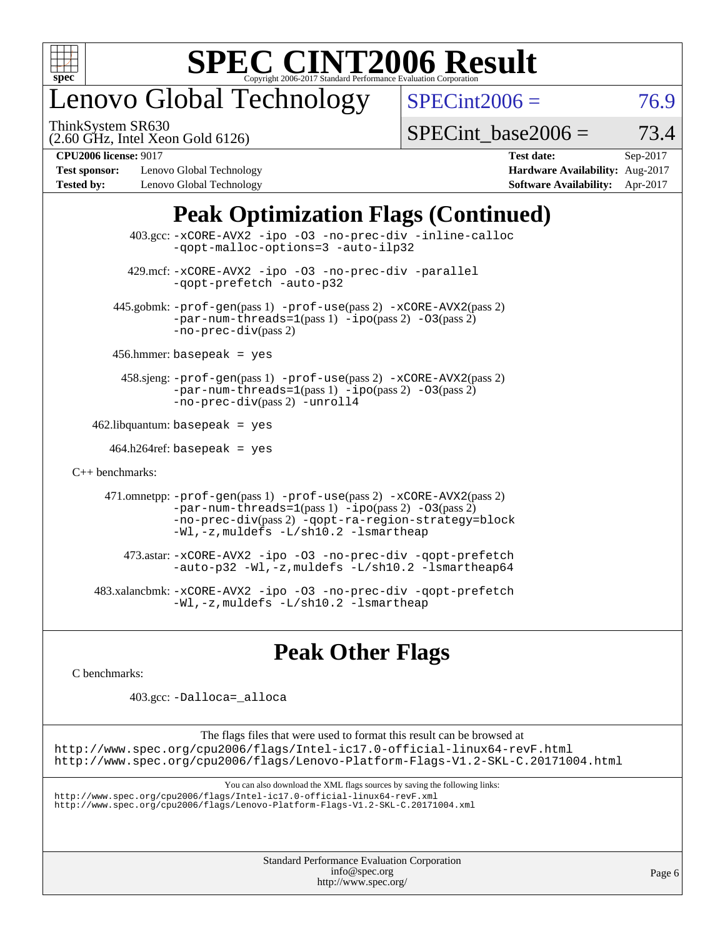

# enovo Global Technology

ThinkSystem SR630

 $SPECint2006 = 76.9$  $SPECint2006 = 76.9$ 

(2.60 GHz, Intel Xeon Gold 6126)

| SPECint base2006 = | 73.4 |
|--------------------|------|
|--------------------|------|

**[Test sponsor:](http://www.spec.org/auto/cpu2006/Docs/result-fields.html#Testsponsor)** Lenovo Global Technology **[Hardware Availability:](http://www.spec.org/auto/cpu2006/Docs/result-fields.html#HardwareAvailability)** Aug-2017 **[Tested by:](http://www.spec.org/auto/cpu2006/Docs/result-fields.html#Testedby)** Lenovo Global Technology **[Software Availability:](http://www.spec.org/auto/cpu2006/Docs/result-fields.html#SoftwareAvailability)** Apr-2017

**[CPU2006 license:](http://www.spec.org/auto/cpu2006/Docs/result-fields.html#CPU2006license)** 9017 **[Test date:](http://www.spec.org/auto/cpu2006/Docs/result-fields.html#Testdate)** Sep-2017

## **[Peak Optimization Flags \(Continued\)](http://www.spec.org/auto/cpu2006/Docs/result-fields.html#PeakOptimizationFlags)**

|                      | $403.\text{sec}: -x \text{CORE-AVX2}$ -ipo -03 -no-prec-div -inline-calloc<br>-gopt-malloc-options=3 -auto-ilp32                                                                                                              |
|----------------------|-------------------------------------------------------------------------------------------------------------------------------------------------------------------------------------------------------------------------------|
|                      | 429.mcf: -xCORE-AVX2 -ipo -03 -no-prec-div -parallel<br>-gopt-prefetch -auto-p32                                                                                                                                              |
|                      | 445.gobmk: -prof-gen(pass 1) -prof-use(pass 2) -xCORE-AVX2(pass 2)<br>$-par-num-threads=1(pass 1) -ipo(pass 2) -03(pass 2)$<br>$-no\text{-}prec\text{-div}(pass 2)$                                                           |
|                      | $456.$ hmmer: basepeak = yes                                                                                                                                                                                                  |
|                      | 458.sjeng: -prof-gen(pass 1) -prof-use(pass 2) -xCORE-AVX2(pass 2)<br>$-par-num-threads=1(pass 1) -ipo(pass 2) -03(pass 2)$<br>-no-prec-div(pass 2) -unroll4                                                                  |
|                      | $462$ .libquantum: basepeak = yes                                                                                                                                                                                             |
|                      | $464.h264 \text{ref}$ : basepeak = yes                                                                                                                                                                                        |
| $C_{++}$ benchmarks: |                                                                                                                                                                                                                               |
|                      | 471.omnetpp: -prof-gen(pass 1) -prof-use(pass 2) -xCORE-AVX2(pass 2)<br>$-par-num-threads=1(pass 1) -ipo(pass 2) -03(pass 2)$<br>-no-prec-div(pass 2) -qopt-ra-region-strategy=block<br>-Wl,-z, muldefs -L/sh10.2 -lsmartheap |
|                      | 473.astar: -xCORE-AVX2 -ipo -03 -no-prec-div -qopt-prefetch<br>$-$ auto-p32 -Wl,-z, muldefs -L/sh10.2 -lsmartheap64                                                                                                           |
|                      | 483.xalancbmk: -xCORE-AVX2 -ipo -03 -no-prec-div -qopt-prefetch<br>$-Wl$ , $-z$ , muldefs $-L/\nabla L$ , 2 $-l$ smartheap                                                                                                    |

## **[Peak Other Flags](http://www.spec.org/auto/cpu2006/Docs/result-fields.html#PeakOtherFlags)**

[C benchmarks](http://www.spec.org/auto/cpu2006/Docs/result-fields.html#Cbenchmarks):

403.gcc: [-Dalloca=\\_alloca](http://www.spec.org/cpu2006/results/res2017q4/cpu2006-20170918-49518.flags.html#b403.gcc_peakEXTRA_CFLAGS_Dalloca_be3056838c12de2578596ca5467af7f3)

The flags files that were used to format this result can be browsed at <http://www.spec.org/cpu2006/flags/Intel-ic17.0-official-linux64-revF.html> <http://www.spec.org/cpu2006/flags/Lenovo-Platform-Flags-V1.2-SKL-C.20171004.html>

You can also download the XML flags sources by saving the following links:

<http://www.spec.org/cpu2006/flags/Intel-ic17.0-official-linux64-revF.xml> <http://www.spec.org/cpu2006/flags/Lenovo-Platform-Flags-V1.2-SKL-C.20171004.xml>